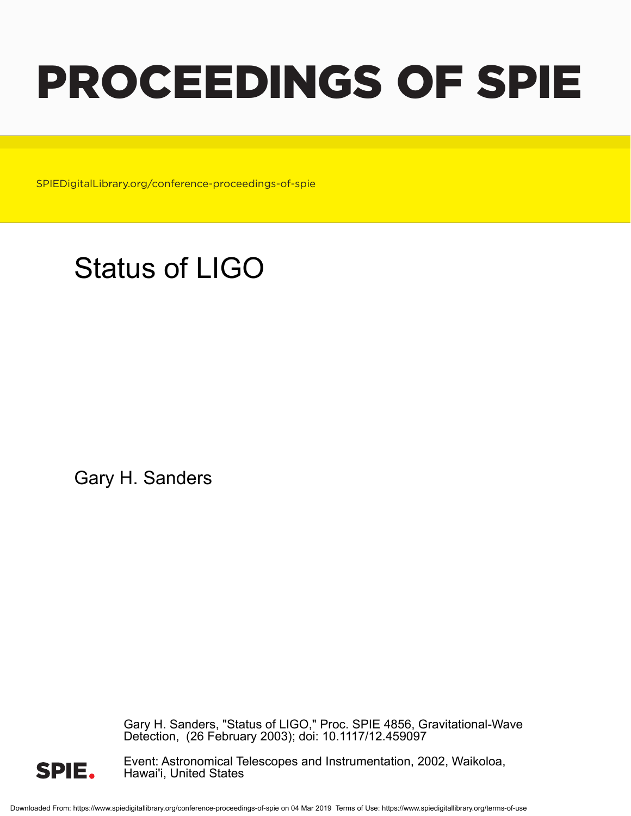# PROCEEDINGS OF SPIE

SPIEDigitalLibrary.org/conference-proceedings-of-spie

## Status of LIGO

Gary H. Sanders

Gary H. Sanders, "Status of LIGO," Proc. SPIE 4856, Gravitational-Wave Detection, (26 February 2003); doi: 10.1117/12.459097



Event: Astronomical Telescopes and Instrumentation, 2002, Waikoloa, Hawai'i, United States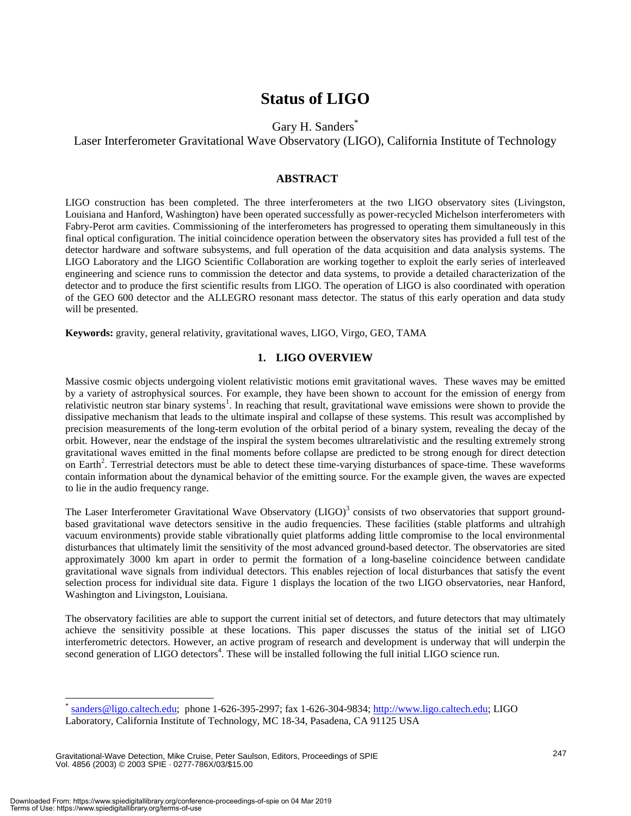### **Status of LIGO**

Gary H. Sanders\*

Laser Interferometer Gravitational Wave Observatory (LIGO), California Institute of Technology

#### **ABSTRACT**

LIGO construction has been completed. The three interferometers at the two LIGO observatory sites (Livingston, Louisiana and Hanford, Washington) have been operated successfully as power-recycled Michelson interferometers with Fabry-Perot arm cavities. Commissioning of the interferometers has progressed to operating them simultaneously in this final optical configuration. The initial coincidence operation between the observatory sites has provided a full test of the detector hardware and software subsystems, and full operation of the data acquisition and data analysis systems. The LIGO Laboratory and the LIGO Scientific Collaboration are working together to exploit the early series of interleaved engineering and science runs to commission the detector and data systems, to provide a detailed characterization of the detector and to produce the first scientific results from LIGO. The operation of LIGO is also coordinated with operation of the GEO 600 detector and the ALLEGRO resonant mass detector. The status of this early operation and data study will be presented.

**Keywords:** gravity, general relativity, gravitational waves, LIGO, Virgo, GEO, TAMA

#### **1. LIGO OVERVIEW**

Massive cosmic objects undergoing violent relativistic motions emit gravitational waves. These waves may be emitted by a variety of astrophysical sources. For example, they have been shown to account for the emission of energy from relativistic neutron star binary systems<sup>1</sup>. In reaching that result, gravitational wave emissions were shown to provide the dissipative mechanism that leads to the ultimate inspiral and collapse of these systems. This result was accomplished by precision measurements of the long-term evolution of the orbital period of a binary system, revealing the decay of the orbit. However, near the endstage of the inspiral the system becomes ultrarelativistic and the resulting extremely strong gravitational waves emitted in the final moments before collapse are predicted to be strong enough for direct detection on Earth<sup>2</sup>. Terrestrial detectors must be able to detect these time-varying disturbances of space-time. These waveforms contain information about the dynamical behavior of the emitting source. For the example given, the waves are expected to lie in the audio frequency range.

The Laser Interferometer Gravitational Wave Observatory  $(LIGO)^3$  consists of two observatories that support groundbased gravitational wave detectors sensitive in the audio frequencies. These facilities (stable platforms and ultrahigh vacuum environments) provide stable vibrationally quiet platforms adding little compromise to the local environmental disturbances that ultimately limit the sensitivity of the most advanced ground-based detector. The observatories are sited approximately 3000 km apart in order to permit the formation of a long-baseline coincidence between candidate gravitational wave signals from individual detectors. This enables rejection of local disturbances that satisfy the event selection process for individual site data. Figure 1 displays the location of the two LIGO observatories, near Hanford, Washington and Livingston, Louisiana.

The observatory facilities are able to support the current initial set of detectors, and future detectors that may ultimately achieve the sensitivity possible at these locations. This paper discusses the status of the initial set of LIGO interferometric detectors. However, an active program of research and development is underway that will underpin the second generation of LIGO detectors<sup>4</sup>. These will be installed following the full initial LIGO science run.

sanders@ligo.caltech.edu; phone 1-626-395-2997; fax 1-626-304-9834; http://www.ligo.caltech.edu; LIGO Laboratory, California Institute of Technology, MC 18-34, Pasadena, CA 91125 USA

Gravitational-Wave Detection, Mike Cruise, Peter Saulson, Editors, Proceedings of SPIE Vol. 4856 (2003) © 2003 SPIE · 0277-786X/03/\$15.00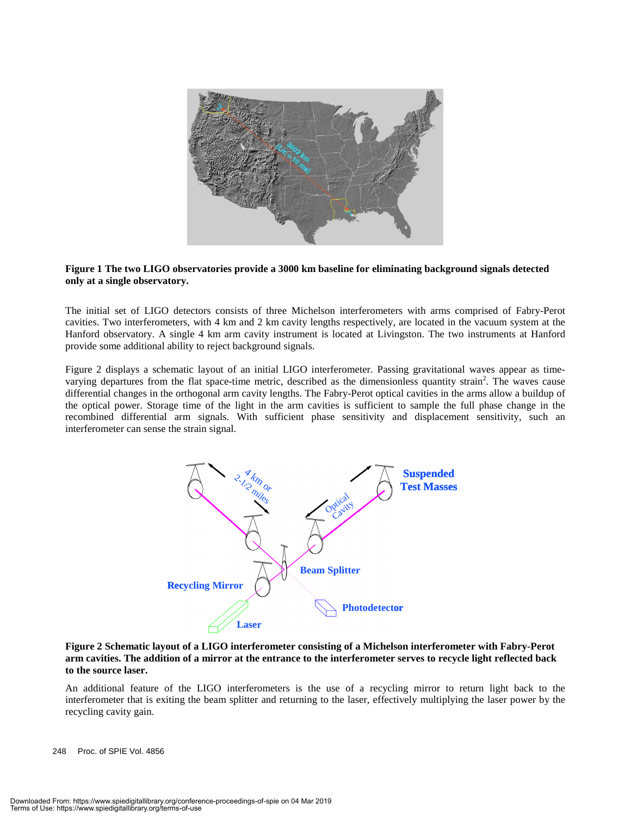

#### **Figure 1 The two LIGO observatories provide a 3000 km baseline for eliminating background signals detected only at a single observatory.**

The initial set of LIGO detectors consists of three Michelson interferometers with arms comprised of Fabry-Perot cavities. Two interferometers, with 4 km and 2 km cavity lengths respectively, are located in the vacuum system at the Hanford observatory. A single 4 km arm cavity instrument is located at Livingston. The two instruments at Hanford provide some additional ability to reject background signals.

Figure 2 displays a schematic layout of an initial LIGO interferometer. Passing gravitational waves appear as timevarying departures from the flat space-time metric, described as the dimensionless quantity strain<sup>2</sup>. The waves cause differential changes in the orthogonal arm cavity lengths. The Fabry-Perot optical cavities in the arms allow a buildup of the optical power. Storage time of the light in the arm cavities is sufficient to sample the full phase change in the recombined differential arm signals. With sufficient phase sensitivity and displacement sensitivity, such an interferometer can sense the strain signal.



#### **Figure 2 Schematic layout of a LIGO interferometer consisting of a Michelson interferometer with Fabry-Perot arm cavities. The addition of a mirror at the entrance to the interferometer serves to recycle light reflected back to the source laser.**

An additional feature of the LIGO interferometers is the use of a recycling mirror to return light back to the interferometer that is exiting the beam splitter and returning to the laser, effectively multiplying the laser power by the recycling cavity gain.

248 Proc. of SPIE Vol. 4856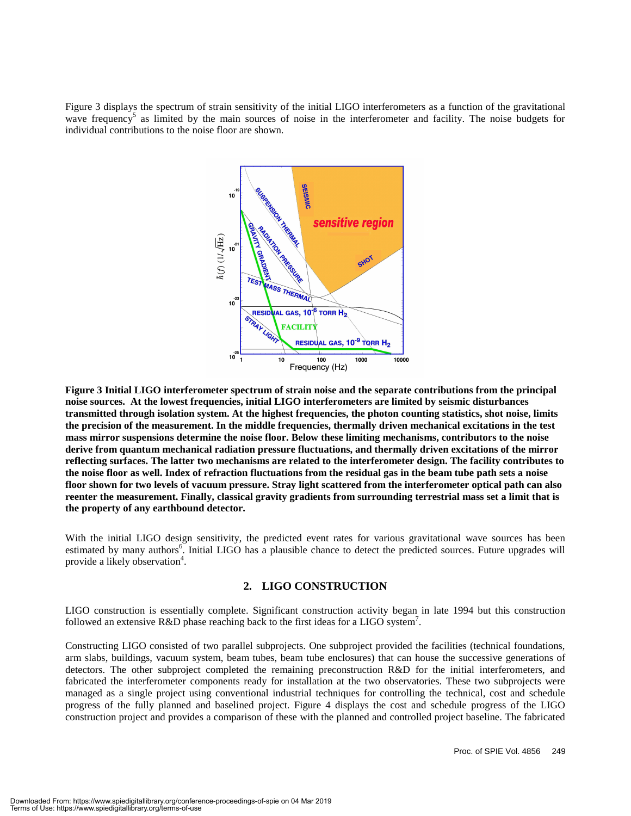Figure 3 displays the spectrum of strain sensitivity of the initial LIGO interferometers as a function of the gravitational wave frequency<sup>5</sup> as limited by the main sources of noise in the interferometer and facility. The noise budgets for individual contributions to the noise floor are shown.



**Figure 3 Initial LIGO interferometer spectrum of strain noise and the separate contributions from the principal noise sources. At the lowest frequencies, initial LIGO interferometers are limited by seismic disturbances transmitted through isolation system. At the highest frequencies, the photon counting statistics, shot noise, limits the precision of the measurement. In the middle frequencies, thermally driven mechanical excitations in the test mass mirror suspensions determine the noise floor. Below these limiting mechanisms, contributors to the noise derive from quantum mechanical radiation pressure fluctuations, and thermally driven excitations of the mirror reflecting surfaces. The latter two mechanisms are related to the interferometer design. The facility contributes to the noise floor as well. Index of refraction fluctuations from the residual gas in the beam tube path sets a noise floor shown for two levels of vacuum pressure. Stray light scattered from the interferometer optical path can also reenter the measurement. Finally, classical gravity gradients from surrounding terrestrial mass set a limit that is the property of any earthbound detector.**

With the initial LIGO design sensitivity, the predicted event rates for various gravitational wave sources has been estimated by many authors<sup>6</sup>. Initial LIGO has a plausible chance to detect the predicted sources. Future upgrades will provide a likely observation<sup>4</sup>.

#### **2. LIGO CONSTRUCTION**

LIGO construction is essentially complete. Significant construction activity began in late 1994 but this construction followed an extensive R&D phase reaching back to the first ideas for a LIGO system<sup>7</sup>.

Constructing LIGO consisted of two parallel subprojects. One subproject provided the facilities (technical foundations, arm slabs, buildings, vacuum system, beam tubes, beam tube enclosures) that can house the successive generations of detectors. The other subproject completed the remaining preconstruction R&D for the initial interferometers, and fabricated the interferometer components ready for installation at the two observatories. These two subprojects were managed as a single project using conventional industrial techniques for controlling the technical, cost and schedule progress of the fully planned and baselined project. Figure 4 displays the cost and schedule progress of the LIGO construction project and provides a comparison of these with the planned and controlled project baseline. The fabricated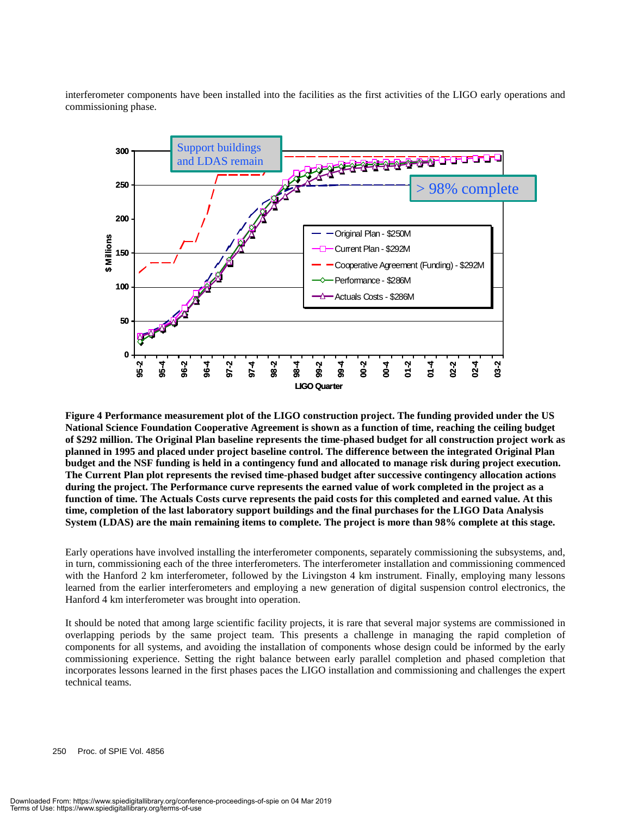interferometer components have been installed into the facilities as the first activities of the LIGO early operations and commissioning phase.



**Figure 4 Performance measurement plot of the LIGO construction project. The funding provided under the US National Science Foundation Cooperative Agreement is shown as a function of time, reaching the ceiling budget of \$292 million. The Original Plan baseline represents the time-phased budget for all construction project work as planned in 1995 and placed under project baseline control. The difference between the integrated Original Plan budget and the NSF funding is held in a contingency fund and allocated to manage risk during project execution. The Current Plan plot represents the revised time-phased budget after successive contingency allocation actions during the project. The Performance curve represents the earned value of work completed in the project as a function of time. The Actuals Costs curve represents the paid costs for this completed and earned value. At this time, completion of the last laboratory support buildings and the final purchases for the LIGO Data Analysis System (LDAS) are the main remaining items to complete. The project is more than 98% complete at this stage.**

Early operations have involved installing the interferometer components, separately commissioning the subsystems, and, in turn, commissioning each of the three interferometers. The interferometer installation and commissioning commenced with the Hanford 2 km interferometer, followed by the Livingston 4 km instrument. Finally, employing many lessons learned from the earlier interferometers and employing a new generation of digital suspension control electronics, the Hanford 4 km interferometer was brought into operation.

It should be noted that among large scientific facility projects, it is rare that several major systems are commissioned in overlapping periods by the same project team. This presents a challenge in managing the rapid completion of components for all systems, and avoiding the installation of components whose design could be informed by the early commissioning experience. Setting the right balance between early parallel completion and phased completion that incorporates lessons learned in the first phases paces the LIGO installation and commissioning and challenges the expert technical teams.

250 Proc. of SPIE Vol. 4856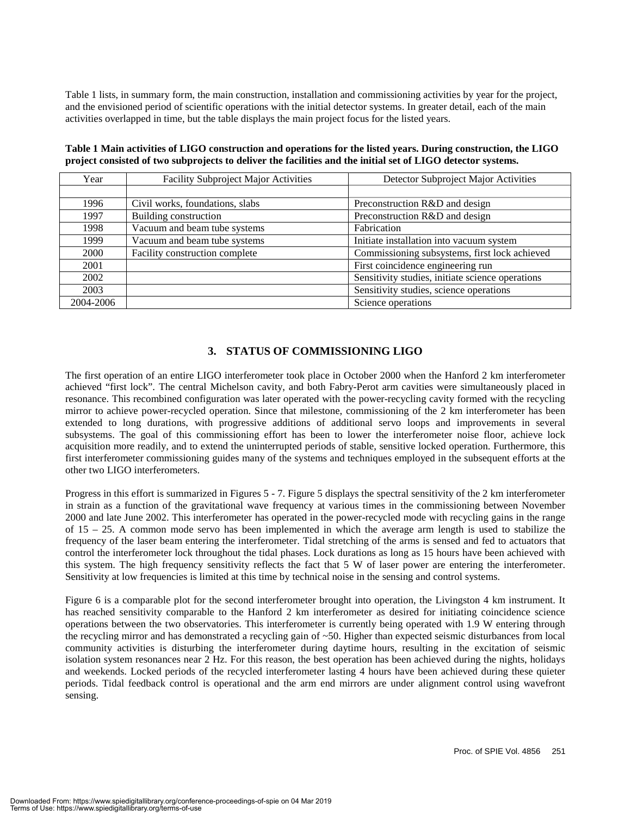Table 1 lists, in summary form, the main construction, installation and commissioning activities by year for the project, and the envisioned period of scientific operations with the initial detector systems. In greater detail, each of the main activities overlapped in time, but the table displays the main project focus for the listed years.

| Year      | Facility Subproject Major Activities | Detector Subproject Major Activities             |  |
|-----------|--------------------------------------|--------------------------------------------------|--|
|           |                                      |                                                  |  |
| 1996      | Civil works, foundations, slabs      | Preconstruction R&D and design                   |  |
| 1997      | Building construction                | Preconstruction R&D and design                   |  |
| 1998      | Vacuum and beam tube systems         | Fabrication                                      |  |
| 1999      | Vacuum and beam tube systems         | Initiate installation into vacuum system         |  |
| 2000      | Facility construction complete       | Commissioning subsystems, first lock achieved    |  |
| 2001      |                                      | First coincidence engineering run                |  |
| 2002      |                                      | Sensitivity studies, initiate science operations |  |
| 2003      |                                      | Sensitivity studies, science operations          |  |
| 2004-2006 |                                      | Science operations                               |  |

**Table 1 Main activities of LIGO construction and operations for the listed years. During construction, the LIGO project consisted of two subprojects to deliver the facilities and the initial set of LIGO detector systems.**

#### **3. STATUS OF COMMISSIONING LIGO**

The first operation of an entire LIGO interferometer took place in October 2000 when the Hanford 2 km interferometer achieved "first lock". The central Michelson cavity, and both Fabry-Perot arm cavities were simultaneously placed in resonance. This recombined configuration was later operated with the power-recycling cavity formed with the recycling mirror to achieve power-recycled operation. Since that milestone, commissioning of the 2 km interferometer has been extended to long durations, with progressive additions of additional servo loops and improvements in several subsystems. The goal of this commissioning effort has been to lower the interferometer noise floor, achieve lock acquisition more readily, and to extend the uninterrupted periods of stable, sensitive locked operation. Furthermore, this first interferometer commissioning guides many of the systems and techniques employed in the subsequent efforts at the other two LIGO interferometers.

Progress in this effort is summarized in Figures 5 - 7. Figure 5 displays the spectral sensitivity of the 2 km interferometer in strain as a function of the gravitational wave frequency at various times in the commissioning between November 2000 and late June 2002. This interferometer has operated in the power-recycled mode with recycling gains in the range of 15 – 25. A common mode servo has been implemented in which the average arm length is used to stabilize the frequency of the laser beam entering the interferometer. Tidal stretching of the arms is sensed and fed to actuators that control the interferometer lock throughout the tidal phases. Lock durations as long as 15 hours have been achieved with this system. The high frequency sensitivity reflects the fact that 5 W of laser power are entering the interferometer. Sensitivity at low frequencies is limited at this time by technical noise in the sensing and control systems.

Figure 6 is a comparable plot for the second interferometer brought into operation, the Livingston 4 km instrument. It has reached sensitivity comparable to the Hanford 2 km interferometer as desired for initiating coincidence science operations between the two observatories. This interferometer is currently being operated with 1.9 W entering through the recycling mirror and has demonstrated a recycling gain of ~50. Higher than expected seismic disturbances from local community activities is disturbing the interferometer during daytime hours, resulting in the excitation of seismic isolation system resonances near 2 Hz. For this reason, the best operation has been achieved during the nights, holidays and weekends. Locked periods of the recycled interferometer lasting 4 hours have been achieved during these quieter periods. Tidal feedback control is operational and the arm end mirrors are under alignment control using wavefront sensing.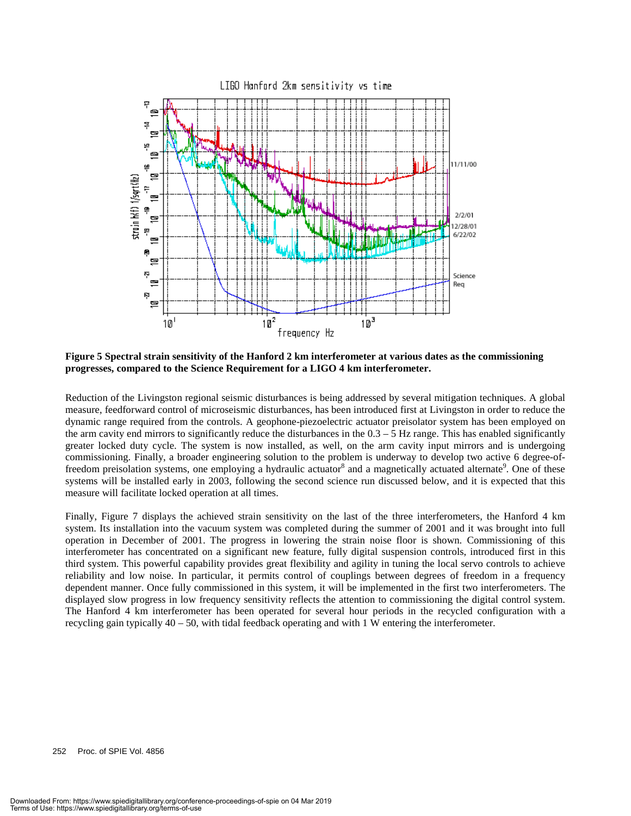

**Figure 5 Spectral strain sensitivity of the Hanford 2 km interferometer at various dates as the commissioning progresses, compared to the Science Requirement for a LIGO 4 km interferometer.**

Reduction of the Livingston regional seismic disturbances is being addressed by several mitigation techniques. A global measure, feedforward control of microseismic disturbances, has been introduced first at Livingston in order to reduce the dynamic range required from the controls. A geophone-piezoelectric actuator preisolator system has been employed on the arm cavity end mirrors to significantly reduce the disturbances in the  $0.3 - 5$  Hz range. This has enabled significantly greater locked duty cycle. The system is now installed, as well, on the arm cavity input mirrors and is undergoing commissioning. Finally, a broader engineering solution to the problem is underway to develop two active 6 degree-offreedom preisolation systems, one employing a hydraulic actuator<sup>8</sup> and a magnetically actuated alternate<sup>9</sup>. One of these systems will be installed early in 2003, following the second science run discussed below, and it is expected that this measure will facilitate locked operation at all times.

Finally, Figure 7 displays the achieved strain sensitivity on the last of the three interferometers, the Hanford 4 km system. Its installation into the vacuum system was completed during the summer of 2001 and it was brought into full operation in December of 2001. The progress in lowering the strain noise floor is shown. Commissioning of this interferometer has concentrated on a significant new feature, fully digital suspension controls, introduced first in this third system. This powerful capability provides great flexibility and agility in tuning the local servo controls to achieve reliability and low noise. In particular, it permits control of couplings between degrees of freedom in a frequency dependent manner. Once fully commissioned in this system, it will be implemented in the first two interferometers. The displayed slow progress in low frequency sensitivity reflects the attention to commissioning the digital control system. The Hanford 4 km interferometer has been operated for several hour periods in the recycled configuration with a recycling gain typically 40 – 50, with tidal feedback operating and with 1 W entering the interferometer.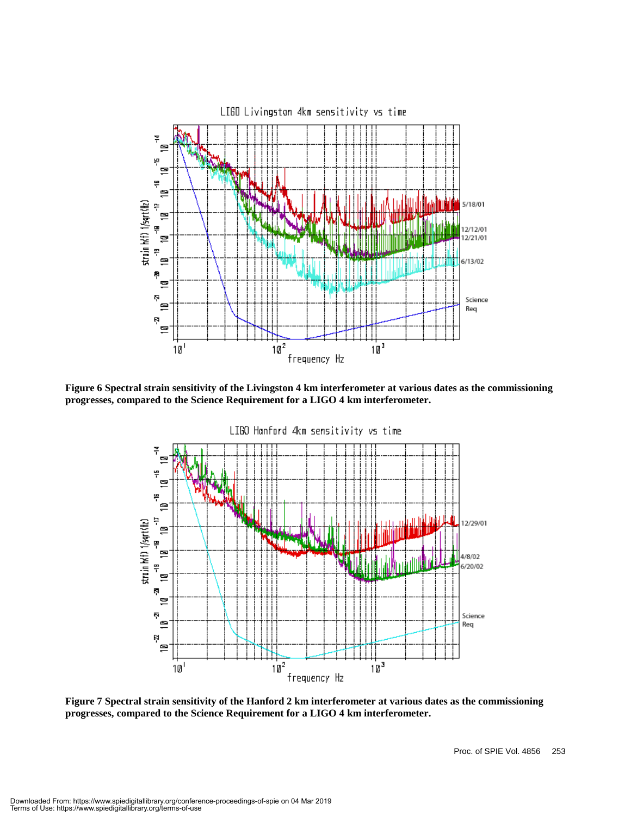

**Figure 6 Spectral strain sensitivity of the Livingston 4 km interferometer at various dates as the commissioning progresses, compared to the Science Requirement for a LIGO 4 km interferometer.**



**Figure 7 Spectral strain sensitivity of the Hanford 2 km interferometer at various dates as the commissioning progresses, compared to the Science Requirement for a LIGO 4 km interferometer.**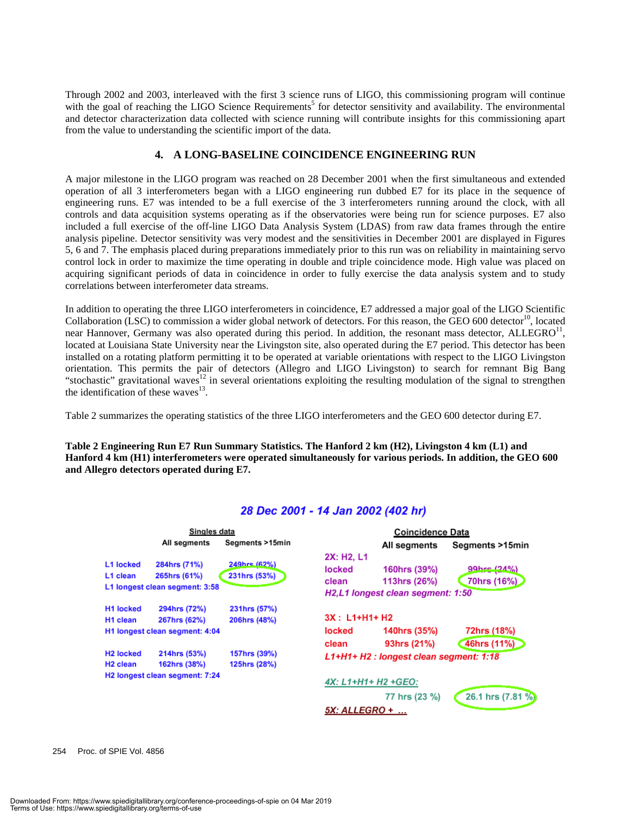Through 2002 and 2003, interleaved with the first 3 science runs of LIGO, this commissioning program will continue with the goal of reaching the LIGO Science Requirements<sup>5</sup> for detector sensitivity and availability. The environmental and detector characterization data collected with science running will contribute insights for this commissioning apart from the value to understanding the scientific import of the data.

#### **4. A LONG-BASELINE COINCIDENCE ENGINEERING RUN**

A major milestone in the LIGO program was reached on 28 December 2001 when the first simultaneous and extended operation of all 3 interferometers began with a LIGO engineering run dubbed E7 for its place in the sequence of engineering runs. E7 was intended to be a full exercise of the 3 interferometers running around the clock, with all controls and data acquisition systems operating as if the observatories were being run for science purposes. E7 also included a full exercise of the off-line LIGO Data Analysis System (LDAS) from raw data frames through the entire analysis pipeline. Detector sensitivity was very modest and the sensitivities in December 2001 are displayed in Figures 5, 6 and 7. The emphasis placed during preparations immediately prior to this run was on reliability in maintaining servo control lock in order to maximize the time operating in double and triple coincidence mode. High value was placed on acquiring significant periods of data in coincidence in order to fully exercise the data analysis system and to study correlations between interferometer data streams.

In addition to operating the three LIGO interferometers in coincidence, E7 addressed a major goal of the LIGO Scientific Collaboration (LSC) to commission a wider global network of detectors. For this reason, the GEO 600 detector<sup>10</sup>, located near Hannover, Germany was also operated during this period. In addition, the resonant mass detector,  $ALLEGRO<sup>11</sup>$ , located at Louisiana State University near the Livingston site, also operated during the E7 period. This detector has been installed on a rotating platform permitting it to be operated at variable orientations with respect to the LIGO Livingston orientation. This permits the pair of detectors (Allegro and LIGO Livingston) to search for remnant Big Bang "stochastic" gravitational waves<sup>12</sup> in several orientations exploiting the resulting modulation of the signal to strengthen the identification of these waves $^{13}$ .

Table 2 summarizes the operating statistics of the three LIGO interferometers and the GEO 600 detector during E7.

**Table 2 Engineering Run E7 Run Summary Statistics. The Hanford 2 km (H2), Livingston 4 km (L1) and Hanford 4 km (H1) interferometers were operated simultaneously for various periods. In addition, the GEO 600 and Allegro detectors operated during E7.**

| Singles data                   |                                                                |                              | <b>Coincidence Data</b>                                |                                                                                            |                                 |  |
|--------------------------------|----------------------------------------------------------------|------------------------------|--------------------------------------------------------|--------------------------------------------------------------------------------------------|---------------------------------|--|
|                                | All segments                                                   | Segments >15min              |                                                        | All segments                                                                               | Segments >15min                 |  |
| L1 locked<br>L1 clean          | 284hrs (71%)<br>265hrs (61%)<br>L1 longest clean segment: 3:58 | 249hrs (62%)<br>231hrs (53%) | 2X: H <sub>2</sub> , L <sub>1</sub><br>locked<br>clean | 160hrs (39%)<br>113hrs (26%)<br>H <sub>2</sub> ,L <sub>1</sub> longest clean segment: 1:50 | $99$ hre $121\%$<br>70hrs (16%) |  |
| <b>H1 locked</b><br>H1 clean   | 294hrs (72%)<br>267hrs (62%)                                   | 231hrs (57%)<br>206hrs (48%) | $3X: L1+H1+H2$                                         |                                                                                            |                                 |  |
| H1 longest clean segment: 4:04 |                                                                |                              | locked<br>clean                                        | 140hrs (35%)<br>93hrs (21%)                                                                | 72hrs (18%)<br>46hrs (11%)      |  |
| H <sub>2</sub> locked          | 214hrs (53%)                                                   | 157hrs (39%)                 | L1+H1+ H2 : longest clean segment: 1:18                |                                                                                            |                                 |  |
| H <sub>2</sub> clean           | 162hrs (38%)                                                   | 125hrs (28%)                 |                                                        |                                                                                            |                                 |  |
| H2 longest clean segment: 7:24 |                                                                |                              | 4X: L1+H1+ H2 +GEO:                                    |                                                                                            |                                 |  |
|                                |                                                                |                              |                                                        | 77 hrs (23 %)                                                                              | 26.1 hrs (7.81 %)               |  |
|                                |                                                                |                              | 5X: ALLEGRO +                                          |                                                                                            |                                 |  |

#### 28 Dec 2001 - 14 Jan 2002 (402 hr)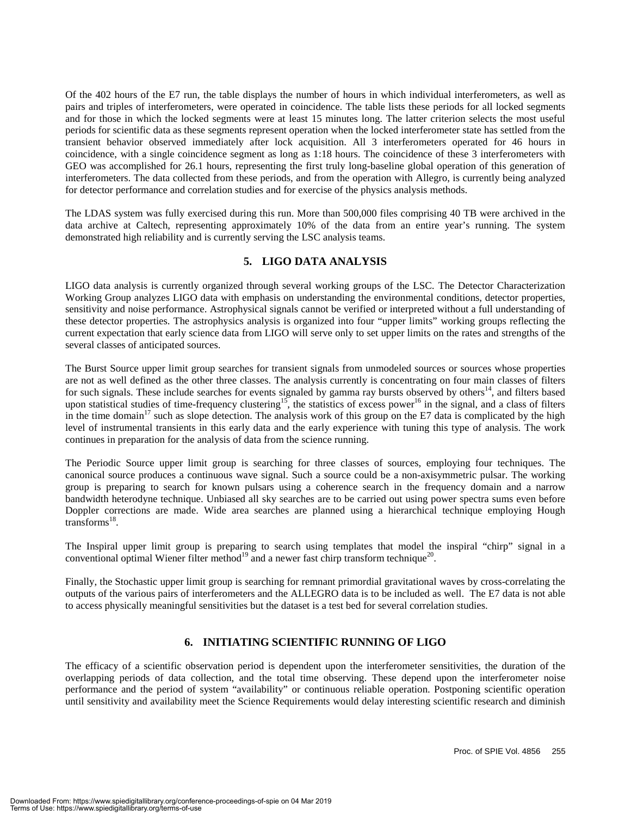Of the 402 hours of the E7 run, the table displays the number of hours in which individual interferometers, as well as pairs and triples of interferometers, were operated in coincidence. The table lists these periods for all locked segments and for those in which the locked segments were at least 15 minutes long. The latter criterion selects the most useful periods for scientific data as these segments represent operation when the locked interferometer state has settled from the transient behavior observed immediately after lock acquisition. All 3 interferometers operated for 46 hours in coincidence, with a single coincidence segment as long as 1:18 hours. The coincidence of these 3 interferometers with GEO was accomplished for 26.1 hours, representing the first truly long-baseline global operation of this generation of interferometers. The data collected from these periods, and from the operation with Allegro, is currently being analyzed for detector performance and correlation studies and for exercise of the physics analysis methods.

The LDAS system was fully exercised during this run. More than 500,000 files comprising 40 TB were archived in the data archive at Caltech, representing approximately 10% of the data from an entire year's running. The system demonstrated high reliability and is currently serving the LSC analysis teams.

#### **5. LIGO DATA ANALYSIS**

LIGO data analysis is currently organized through several working groups of the LSC. The Detector Characterization Working Group analyzes LIGO data with emphasis on understanding the environmental conditions, detector properties, sensitivity and noise performance. Astrophysical signals cannot be verified or interpreted without a full understanding of these detector properties. The astrophysics analysis is organized into four "upper limits" working groups reflecting the current expectation that early science data from LIGO will serve only to set upper limits on the rates and strengths of the several classes of anticipated sources.

The Burst Source upper limit group searches for transient signals from unmodeled sources or sources whose properties are not as well defined as the other three classes. The analysis currently is concentrating on four main classes of filters for such signals. These include searches for events signaled by gamma ray bursts observed by others $14$ , and filters based upon statistical studies of time-frequency clustering<sup>15</sup>, the statistics of excess power<sup>16</sup> in the signal, and a class of filters in the time domain<sup>17</sup> such as slope detection. The analysis work of this group on the E7 data is complicated by the high level of instrumental transients in this early data and the early experience with tuning this type of analysis. The work continues in preparation for the analysis of data from the science running.

The Periodic Source upper limit group is searching for three classes of sources, employing four techniques. The canonical source produces a continuous wave signal. Such a source could be a non-axisymmetric pulsar. The working group is preparing to search for known pulsars using a coherence search in the frequency domain and a narrow bandwidth heterodyne technique. Unbiased all sky searches are to be carried out using power spectra sums even before Doppler corrections are made. Wide area searches are planned using a hierarchical technique employing Hough transforms $^{18}$ .

The Inspiral upper limit group is preparing to search using templates that model the inspiral "chirp" signal in a conventional optimal Wiener filter method<sup>19</sup> and a newer fast chirp transform technique<sup>20</sup>.

Finally, the Stochastic upper limit group is searching for remnant primordial gravitational waves by cross-correlating the outputs of the various pairs of interferometers and the ALLEGRO data is to be included as well. The E7 data is not able to access physically meaningful sensitivities but the dataset is a test bed for several correlation studies.

#### **6. INITIATING SCIENTIFIC RUNNING OF LIGO**

The efficacy of a scientific observation period is dependent upon the interferometer sensitivities, the duration of the overlapping periods of data collection, and the total time observing. These depend upon the interferometer noise performance and the period of system "availability" or continuous reliable operation. Postponing scientific operation until sensitivity and availability meet the Science Requirements would delay interesting scientific research and diminish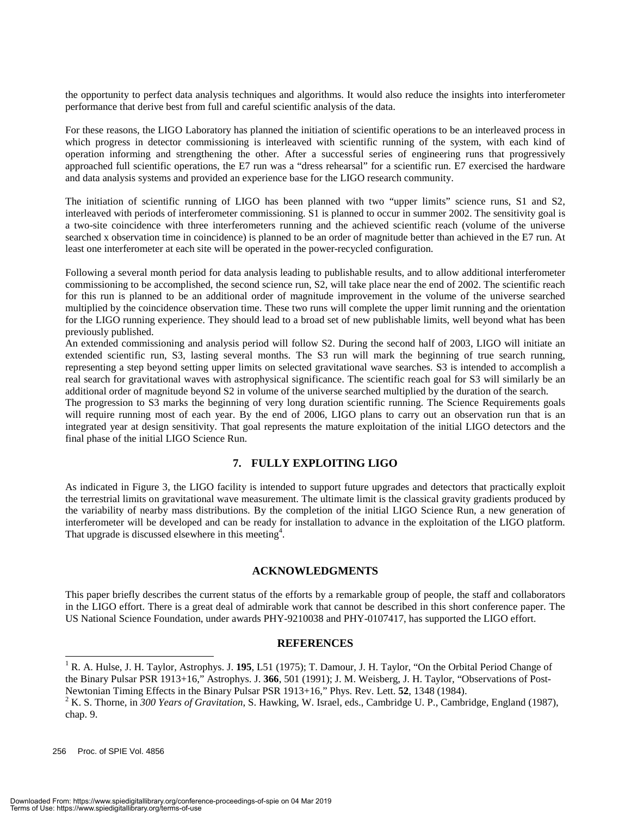the opportunity to perfect data analysis techniques and algorithms. It would also reduce the insights into interferometer performance that derive best from full and careful scientific analysis of the data.

For these reasons, the LIGO Laboratory has planned the initiation of scientific operations to be an interleaved process in which progress in detector commissioning is interleaved with scientific running of the system, with each kind of operation informing and strengthening the other. After a successful series of engineering runs that progressively approached full scientific operations, the E7 run was a "dress rehearsal" for a scientific run. E7 exercised the hardware and data analysis systems and provided an experience base for the LIGO research community.

The initiation of scientific running of LIGO has been planned with two "upper limits" science runs, S1 and S2, interleaved with periods of interferometer commissioning. S1 is planned to occur in summer 2002. The sensitivity goal is a two-site coincidence with three interferometers running and the achieved scientific reach (volume of the universe searched x observation time in coincidence) is planned to be an order of magnitude better than achieved in the E7 run. At least one interferometer at each site will be operated in the power-recycled configuration.

Following a several month period for data analysis leading to publishable results, and to allow additional interferometer commissioning to be accomplished, the second science run, S2, will take place near the end of 2002. The scientific reach for this run is planned to be an additional order of magnitude improvement in the volume of the universe searched multiplied by the coincidence observation time. These two runs will complete the upper limit running and the orientation for the LIGO running experience. They should lead to a broad set of new publishable limits, well beyond what has been previously published.

An extended commissioning and analysis period will follow S2. During the second half of 2003, LIGO will initiate an extended scientific run, S3, lasting several months. The S3 run will mark the beginning of true search running, representing a step beyond setting upper limits on selected gravitational wave searches. S3 is intended to accomplish a real search for gravitational waves with astrophysical significance. The scientific reach goal for S3 will similarly be an additional order of magnitude beyond S2 in volume of the universe searched multiplied by the duration of the search.

The progression to S3 marks the beginning of very long duration scientific running. The Science Requirements goals will require running most of each year. By the end of 2006, LIGO plans to carry out an observation run that is an integrated year at design sensitivity. That goal represents the mature exploitation of the initial LIGO detectors and the final phase of the initial LIGO Science Run.

#### **7. FULLY EXPLOITING LIGO**

As indicated in Figure 3, the LIGO facility is intended to support future upgrades and detectors that practically exploit the terrestrial limits on gravitational wave measurement. The ultimate limit is the classical gravity gradients produced by the variability of nearby mass distributions. By the completion of the initial LIGO Science Run, a new generation of interferometer will be developed and can be ready for installation to advance in the exploitation of the LIGO platform. That upgrade is discussed elsewhere in this meeting<sup>4</sup>.

#### **ACKNOWLEDGMENTS**

This paper briefly describes the current status of the efforts by a remarkable group of people, the staff and collaborators in the LIGO effort. There is a great deal of admirable work that cannot be described in this short conference paper. The US National Science Foundation, under awards PHY-9210038 and PHY-0107417, has supported the LIGO effort.

#### **REFERENCES**

256 Proc. of SPIE Vol. 4856

<sup>&</sup>lt;sup>1</sup> R. A. Hulse, J. H. Taylor, Astrophys. J. 195, L51 (1975); T. Damour, J. H. Taylor, "On the Orbital Period Change of the Binary Pulsar PSR 1913+16," Astrophys. J. **366**, 501 (1991); J. M. Weisberg, J. H. Taylor, "Observations of Post-Newtonian Timing Effects in the Binary Pulsar PSR 1913+16," Phys. Rev. Lett. 52, 1348 (1984).<br><sup>2</sup> K. S. Thorne, in 300 Years of Gravitation, S. Hawking, W. Israel, eds., Cambridge U. P., Cambridge, England (1987),

chap. 9.